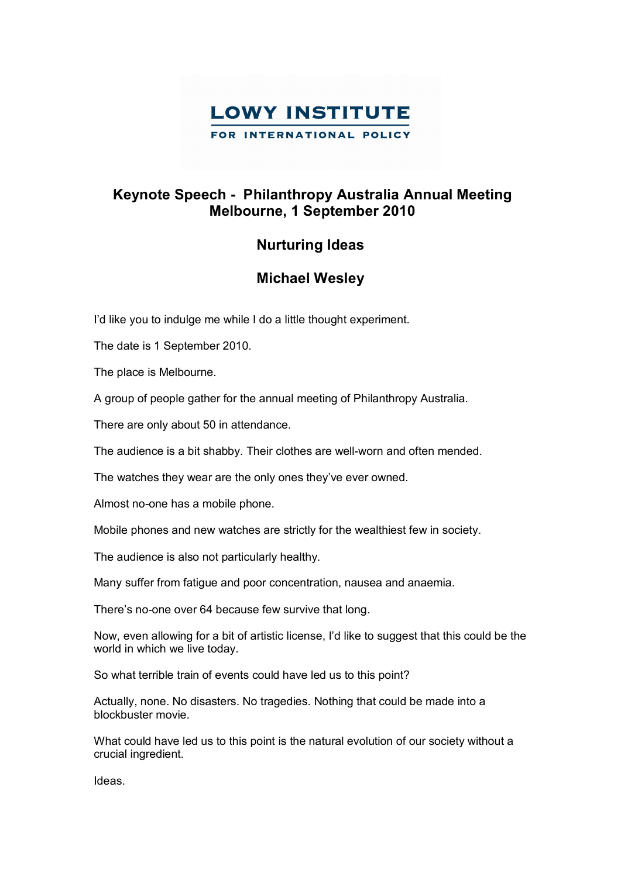

## **Keynote Speech Philanthropy Australia Annual Meeting Melbourne, 1 September 2010**

## **Nurturing Ideas**

## **Michael Wesley**

I'd like you to indulge me while I do a little thought experiment.

The date is 1 September 2010.

The place is Melbourne.

A group of people gather for the annual meeting of Philanthropy Australia.

There are only about 50 in attendance.

The audience is a bit shabby. Their clothes are well-worn and often mended.

The watches they wear are the only ones they've ever owned.

Almost no-one has a mobile phone.

Mobile phones and new watches are strictly for the wealthiest few in society.

The audience is also not particularly healthy.

Many suffer from fatigue and poor concentration, nausea and anaemia.

There's no-one over 64 because few survive that long.

Now, even allowing for a bit of artistic license, I'd like to suggest that this could be the world in which we live today.

So what terrible train of events could have led us to this point?

Actually, none. No disasters. No tragedies. Nothing that could be made into a blockbuster movie.

What could have led us to this point is the natural evolution of our society without a crucial ingredient.

Ideas.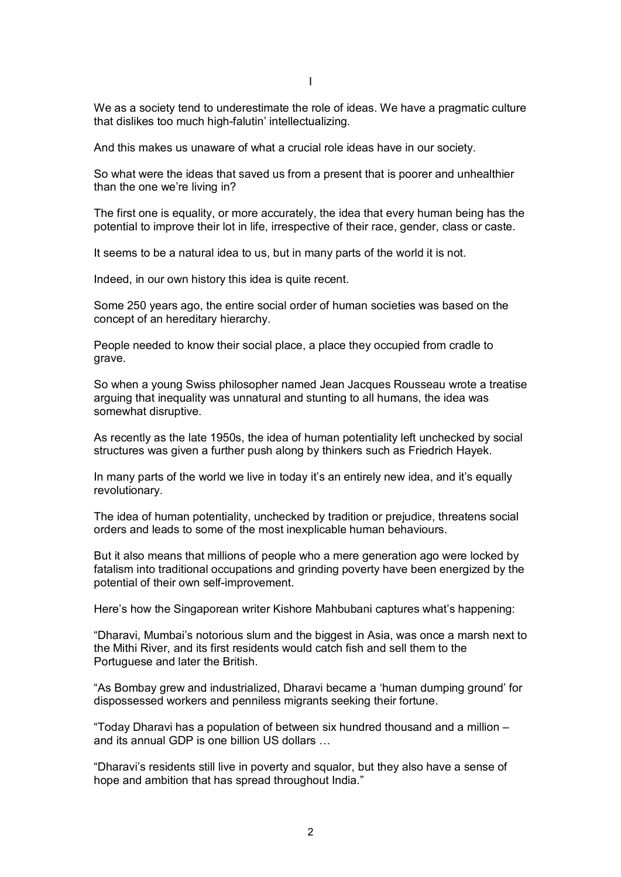We as a society tend to underestimate the role of ideas. We have a pragmatic culture that dislikes too much high-falutin' intellectualizing.

And this makes us unaware of what a crucial role ideas have in our society.

So what were the ideas that saved us from a present that is poorer and unhealthier than the one we're living in?

The first one is equality, or more accurately, the idea that every human being has the potential to improve their lot in life, irrespective of their race, gender, class or caste.

It seems to be a natural idea to us, but in many parts of the world it is not.

Indeed, in our own history this idea is quite recent.

Some 250 years ago, the entire social order of human societies was based on the concept of an hereditary hierarchy.

People needed to know their social place, a place they occupied from cradle to grave.

So when a young Swiss philosopher named Jean Jacques Rousseau wrote a treatise arguing that inequality was unnatural and stunting to all humans, the idea was somewhat disruptive.

As recently as the late 1950s, the idea of human potentiality left unchecked by social structures was given a further push along by thinkers such as Friedrich Hayek.

In many parts of the world we live in today it's an entirely new idea, and it's equally revolutionary.

The idea of human potentiality, unchecked by tradition or prejudice, threatens social orders and leads to some of the most inexplicable human behaviours.

But it also means that millions of people who a mere generation ago were locked by fatalism into traditional occupations and grinding poverty have been energized by the potential of their own self-improvement.

Here's how the Singaporean writer Kishore Mahbubani captures what's happening:

"Dharavi, Mumbai's notorious slum and the biggest in Asia, was once a marsh next to the Mithi River, and its first residents would catch fish and sell them to the Portuguese and later the British.

"As Bombay grew and industrialized, Dharavi became a 'human dumping ground' for dispossessed workers and penniless migrants seeking their fortune.

"Today Dharavi has a population of between six hundred thousand and a million – and its annual GDP is one billion US dollars …

"Dharavi's residents still live in poverty and squalor, but they also have a sense of hope and ambition that has spread throughout India."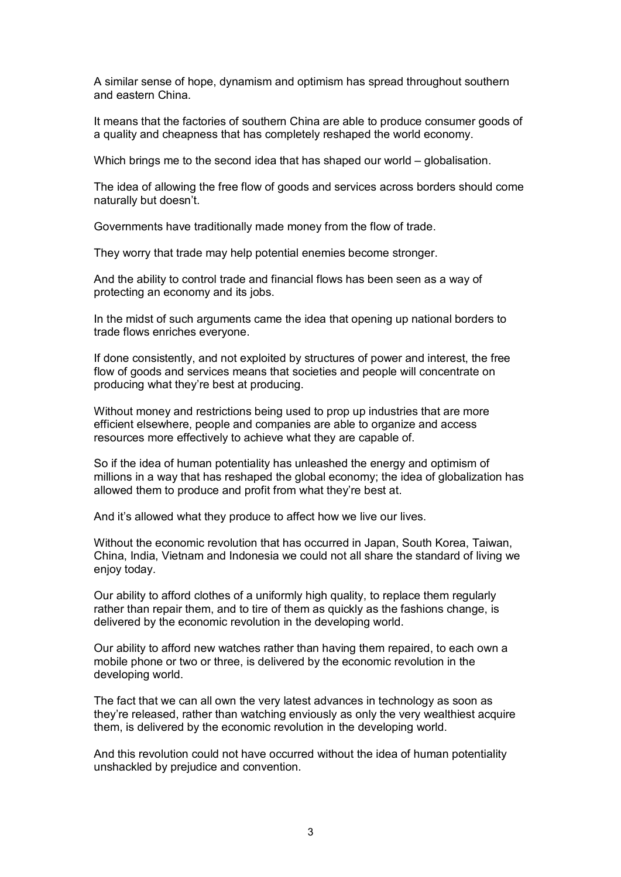A similar sense of hope, dynamism and optimism has spread throughout southern and eastern China.

It means that the factories of southern China are able to produce consumer goods of a quality and cheapness that has completely reshaped the world economy.

Which brings me to the second idea that has shaped our world – globalisation.

The idea of allowing the free flow of goods and services across borders should come naturally but doesn't.

Governments have traditionally made money from the flow of trade.

They worry that trade may help potential enemies become stronger.

And the ability to control trade and financial flows has been seen as a way of protecting an economy and its jobs.

In the midst of such arguments came the idea that opening up national borders to trade flows enriches everyone.

If done consistently, and not exploited by structures of power and interest, the free flow of goods and services means that societies and people will concentrate on producing what they're best at producing.

Without money and restrictions being used to prop up industries that are more efficient elsewhere, people and companies are able to organize and access resources more effectively to achieve what they are capable of.

So if the idea of human potentiality has unleashed the energy and optimism of millions in a way that has reshaped the global economy; the idea of globalization has allowed them to produce and profit from what they're best at.

And it's allowed what they produce to affect how we live our lives.

Without the economic revolution that has occurred in Japan, South Korea, Taiwan, China, India, Vietnam and Indonesia we could not all share the standard of living we enjoy today.

Our ability to afford clothes of a uniformly high quality, to replace them regularly rather than repair them, and to tire of them as quickly as the fashions change, is delivered by the economic revolution in the developing world.

Our ability to afford new watches rather than having them repaired, to each own a mobile phone or two or three, is delivered by the economic revolution in the developing world.

The fact that we can all own the very latest advances in technology as soon as they're released, rather than watching enviously as only the very wealthiest acquire them, is delivered by the economic revolution in the developing world.

And this revolution could not have occurred without the idea of human potentiality unshackled by prejudice and convention.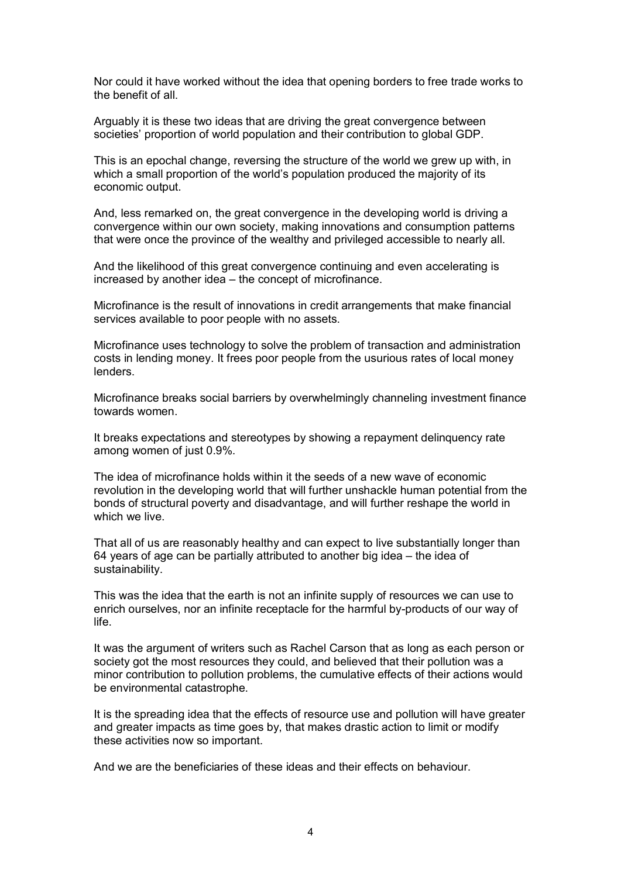Nor could it have worked without the idea that opening borders to free trade works to the benefit of all.

Arguably it is these two ideas that are driving the great convergence between societies' proportion of world population and their contribution to global GDP.

This is an epochal change, reversing the structure of the world we grew up with, in which a small proportion of the world's population produced the majority of its economic output.

And, less remarked on, the great convergence in the developing world is driving a convergence within our own society, making innovations and consumption patterns that were once the province of the wealthy and privileged accessible to nearly all.

And the likelihood of this great convergence continuing and even accelerating is increased by another idea – the concept of microfinance.

Microfinance is the result of innovations in credit arrangements that make financial services available to poor people with no assets.

Microfinance uses technology to solve the problem of transaction and administration costs in lending money. It frees poor people from the usurious rates of local money lenders.

Microfinance breaks social barriers by overwhelmingly channeling investment finance towards women.

It breaks expectations and stereotypes by showing a repayment delinquency rate among women of just 0.9%.

The idea of microfinance holds within it the seeds of a new wave of economic revolution in the developing world that will further unshackle human potential from the bonds of structural poverty and disadvantage, and will further reshape the world in which we live.

That all of us are reasonably healthy and can expect to live substantially longer than 64 years of age can be partially attributed to another big idea – the idea of sustainability.

This was the idea that the earth is not an infinite supply of resources we can use to enrich ourselves, nor an infinite receptacle for the harmful by-products of our way of life.

It was the argument of writers such as Rachel Carson that as long as each person or society got the most resources they could, and believed that their pollution was a minor contribution to pollution problems, the cumulative effects of their actions would be environmental catastrophe.

It is the spreading idea that the effects of resource use and pollution will have greater and greater impacts as time goes by, that makes drastic action to limit or modify these activities now so important.

And we are the beneficiaries of these ideas and their effects on behaviour.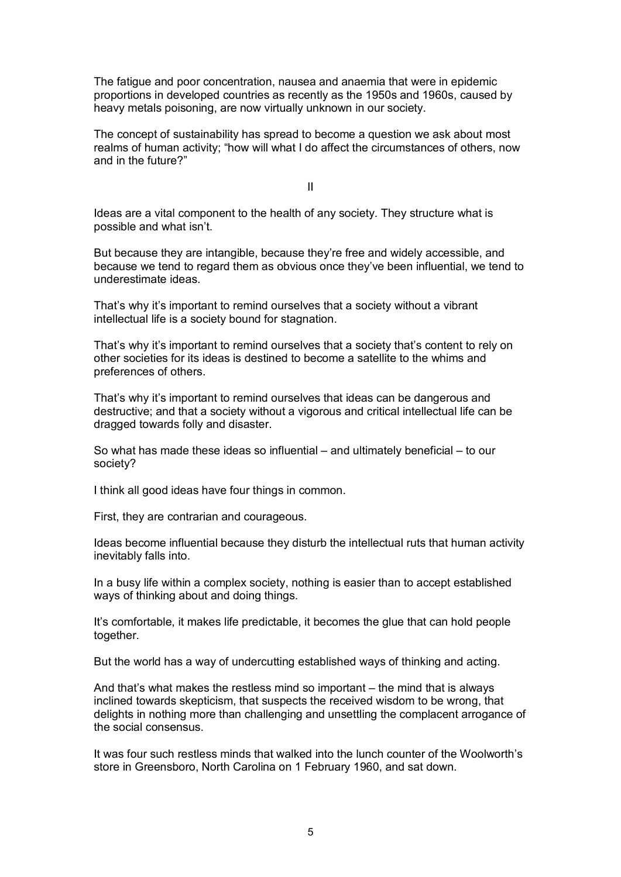The fatigue and poor concentration, nausea and anaemia that were in epidemic proportions in developed countries as recently as the 1950s and 1960s, caused by heavy metals poisoning, are now virtually unknown in our society.

The concept of sustainability has spread to become a question we ask about most realms of human activity; "how will what I do affect the circumstances of others, now and in the future?"

II

Ideas are a vital component to the health of any society. They structure what is possible and what isn't.

But because they are intangible, because they're free and widely accessible, and because we tend to regard them as obvious once they've been influential, we tend to underestimate ideas.

That's why it's important to remind ourselves that a society without a vibrant intellectual life is a society bound for stagnation.

That's why it's important to remind ourselves that a society that's content to rely on other societies for its ideas is destined to become a satellite to the whims and preferences of others.

That's why it's important to remind ourselves that ideas can be dangerous and destructive; and that a society without a vigorous and critical intellectual life can be dragged towards folly and disaster.

So what has made these ideas so influential – and ultimately beneficial – to our society?

I think all good ideas have four things in common.

First, they are contrarian and courageous.

Ideas become influential because they disturb the intellectual ruts that human activity inevitably falls into.

In a busy life within a complex society, nothing is easier than to accept established ways of thinking about and doing things.

It's comfortable, it makes life predictable, it becomes the glue that can hold people together.

But the world has a way of undercutting established ways of thinking and acting.

And that's what makes the restless mind so important – the mind that is always inclined towards skepticism, that suspects the received wisdom to be wrong, that delights in nothing more than challenging and unsettling the complacent arrogance of the social consensus.

It was four such restless minds that walked into the lunch counter of the Woolworth's store in Greensboro, North Carolina on 1 February 1960, and sat down.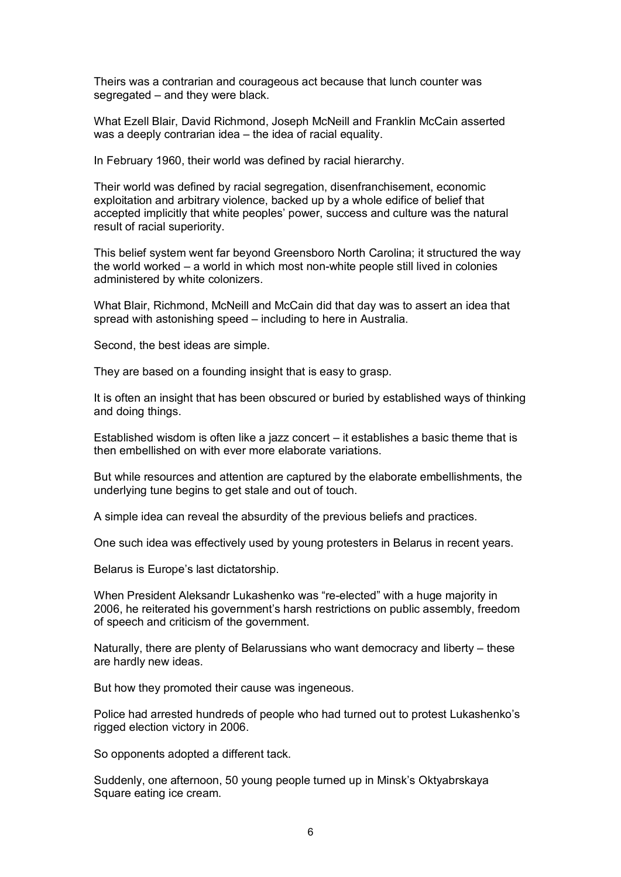Theirs was a contrarian and courageous act because that lunch counter was segregated – and they were black.

What Ezell Blair, David Richmond, Joseph McNeill and Franklin McCain asserted was a deeply contrarian idea – the idea of racial equality.

In February 1960, their world was defined by racial hierarchy.

Their world was defined by racial segregation, disenfranchisement, economic exploitation and arbitrary violence, backed up by a whole edifice of belief that accepted implicitly that white peoples' power, success and culture was the natural result of racial superiority.

This belief system went far beyond Greensboro North Carolina; it structured the way the world worked – a world in which most nonwhite people still lived in colonies administered by white colonizers.

What Blair, Richmond, McNeill and McCain did that day was to assert an idea that spread with astonishing speed – including to here in Australia.

Second, the best ideas are simple.

They are based on a founding insight that is easy to grasp.

It is often an insight that has been obscured or buried by established ways of thinking and doing things.

Established wisdom is often like a jazz concert – it establishes a basic theme that is then embellished on with ever more elaborate variations.

But while resources and attention are captured by the elaborate embellishments, the underlying tune begins to get stale and out of touch.

A simple idea can reveal the absurdity of the previous beliefs and practices.

One such idea was effectively used by young protesters in Belarus in recent years.

Belarus is Europe's last dictatorship.

When President Aleksandr Lukashenko was "re-elected" with a huge majority in 2006, he reiterated his government's harsh restrictions on public assembly, freedom of speech and criticism of the government.

Naturally, there are plenty of Belarussians who want democracy and liberty – these are hardly new ideas.

But how they promoted their cause was ingeneous.

Police had arrested hundreds of people who had turned out to protest Lukashenko's rigged election victory in 2006.

So opponents adopted a different tack.

Suddenly, one afternoon, 50 young people turned up in Minsk's Oktyabrskaya Square eating ice cream.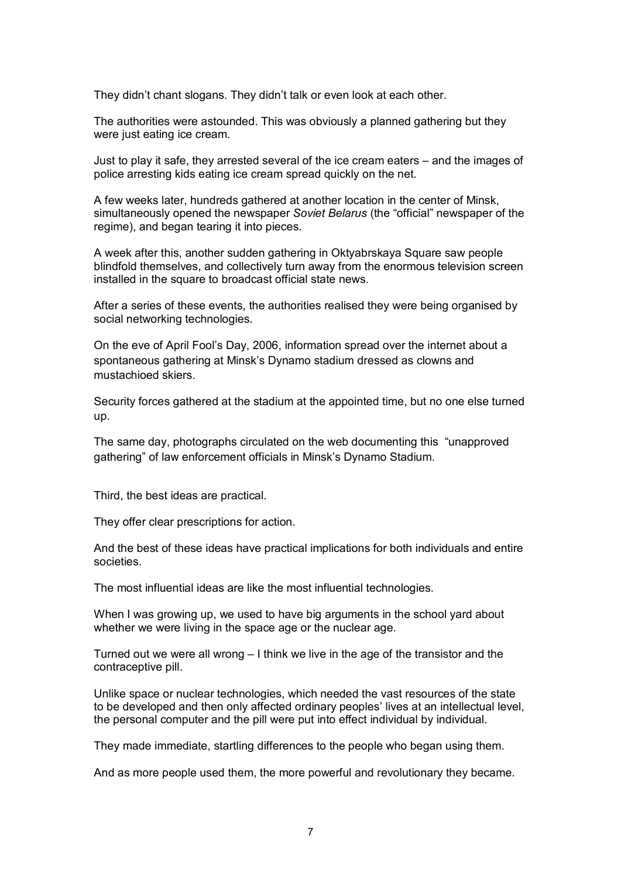They didn't chant slogans. They didn't talk or even look at each other.

The authorities were astounded. This was obviously a planned gathering but they were just eating ice cream.

Just to play it safe, they arrested several of the ice cream eaters – and the images of police arresting kids eating ice cream spread quickly on the net.

A few weeks later, hundreds gathered at another location in the center of Minsk, simultaneously opened the newspaper *Soviet Belarus* (the "official" newspaper of the regime), and began tearing it into pieces.

A week after this, another sudden gathering in Oktyabrskaya Square saw people blindfold themselves, and collectively turn away from the enormous television screen installed in the square to broadcast official state news.

After a series of these events, the authorities realised they were being organised by social networking technologies.

On the eve of April Fool's Day, 2006, information spread over the internet about a spontaneous gathering at Minsk's Dynamo stadium dressed as clowns and mustachioed skiers.

Security forces gathered at the stadium at the appointed time, but no one else turned up.

The same day, photographs circulated on the web documenting this "unapproved gathering" of law enforcement officials in Minsk's Dynamo Stadium.

Third, the best ideas are practical.

They offer clear prescriptions for action.

And the best of these ideas have practical implications for both individuals and entire societies.

The most influential ideas are like the most influential technologies.

When I was growing up, we used to have big arguments in the school yard about whether we were living in the space age or the nuclear age.

Turned out we were all wrong – I think we live in the age of the transistor and the contraceptive pill.

Unlike space or nuclear technologies, which needed the vast resources of the state to be developed and then only affected ordinary peoples' lives at an intellectual level, the personal computer and the pill were put into effect individual by individual.

They made immediate, startling differences to the people who began using them.

And as more people used them, the more powerful and revolutionary they became.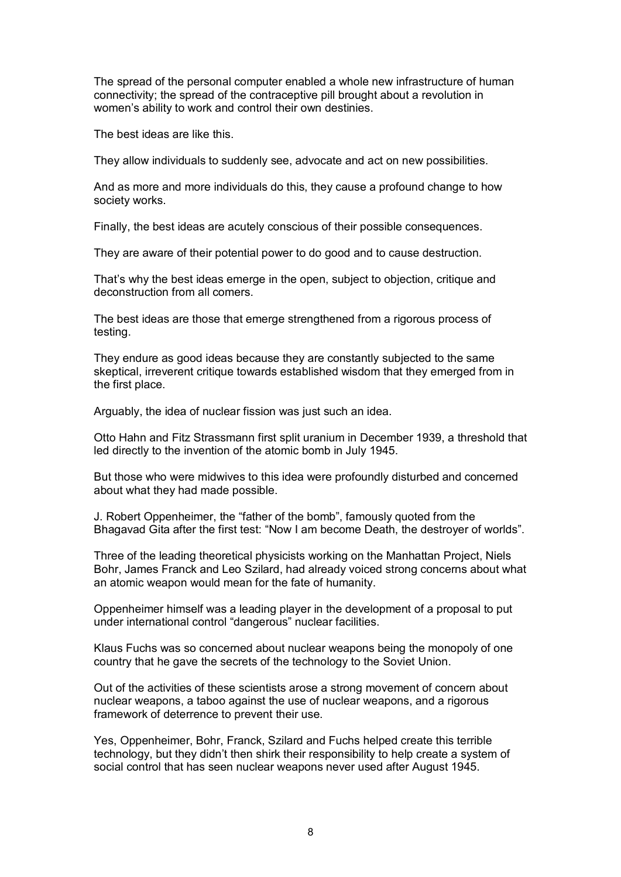The spread of the personal computer enabled a whole new infrastructure of human connectivity; the spread of the contraceptive pill brought about a revolution in women's ability to work and control their own destinies.

The best ideas are like this.

They allow individuals to suddenly see, advocate and act on new possibilities.

And as more and more individuals do this, they cause a profound change to how society works.

Finally, the best ideas are acutely conscious of their possible consequences.

They are aware of their potential power to do good and to cause destruction.

That's why the best ideas emerge in the open, subject to objection, critique and deconstruction from all comers.

The best ideas are those that emerge strengthened from a rigorous process of testing.

They endure as good ideas because they are constantly subjected to the same skeptical, irreverent critique towards established wisdom that they emerged from in the first place.

Arguably, the idea of nuclear fission was just such an idea.

Otto Hahn and Fitz Strassmann first split uranium in December 1939, a threshold that led directly to the invention of the atomic bomb in July 1945.

But those who were midwives to this idea were profoundly disturbed and concerned about what they had made possible.

J. Robert Oppenheimer, the "father of the bomb", famously quoted from the Bhagavad Gita after the first test: "Now I am become Death, the destroyer of worlds".

Three of the leading theoretical physicists working on the Manhattan Project, Niels Bohr, James Franck and Leo Szilard, had already voiced strong concerns about what an atomic weapon would mean for the fate of humanity.

Oppenheimer himself was a leading player in the development of a proposal to put under international control "dangerous" nuclear facilities.

Klaus Fuchs was so concerned about nuclear weapons being the monopoly of one country that he gave the secrets of the technology to the Soviet Union.

Out of the activities of these scientists arose a strong movement of concern about nuclear weapons, a taboo against the use of nuclear weapons, and a rigorous framework of deterrence to prevent their use.

Yes, Oppenheimer, Bohr, Franck, Szilard and Fuchs helped create this terrible technology, but they didn't then shirk their responsibility to help create a system of social control that has seen nuclear weapons never used after August 1945.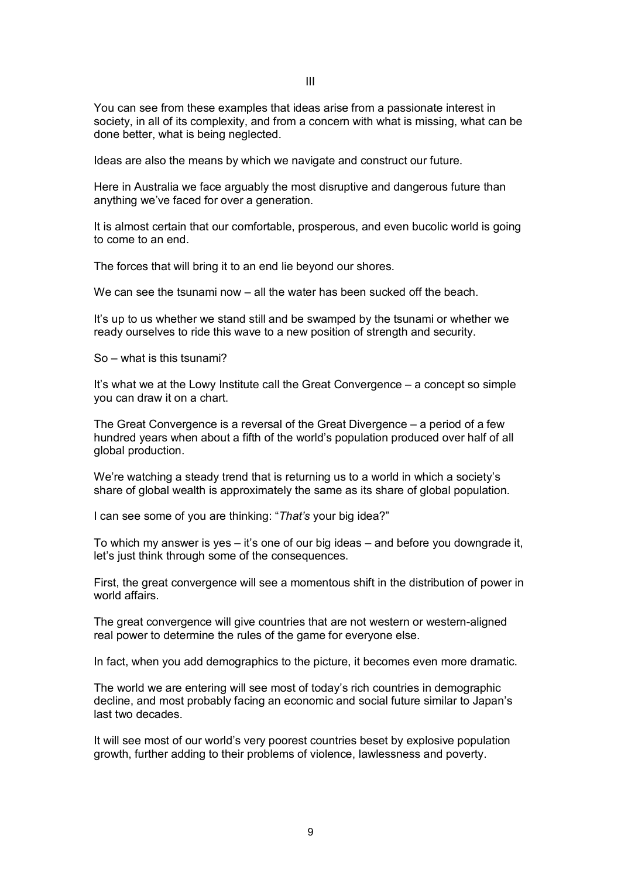You can see from these examples that ideas arise from a passionate interest in society, in all of its complexity, and from a concern with what is missing, what can be done better, what is being neglected.

Ideas are also the means by which we navigate and construct our future.

Here in Australia we face arguably the most disruptive and dangerous future than anything we've faced for over a generation.

It is almost certain that our comfortable, prosperous, and even bucolic world is going to come to an end.

The forces that will bring it to an end lie beyond our shores.

We can see the tsunami now – all the water has been sucked off the beach.

It's up to us whether we stand still and be swamped by the tsunami or whether we ready ourselves to ride this wave to a new position of strength and security.

So – what is this tsunami?

It's what we at the Lowy Institute call the Great Convergence – a concept so simple you can draw it on a chart.

The Great Convergence is a reversal of the Great Divergence – a period of a few hundred years when about a fifth of the world's population produced over half of all global production.

We're watching a steady trend that is returning us to a world in which a society's share of global wealth is approximately the same as its share of global population.

I can see some of you are thinking: "*That's* your big idea?"

To which my answer is yes  $-$  it's one of our big ideas  $-$  and before you downgrade it, let's just think through some of the consequences.

First, the great convergence will see a momentous shift in the distribution of power in world affairs.

The great convergence will give countries that are not western or westernaligned real power to determine the rules of the game for everyone else.

In fact, when you add demographics to the picture, it becomes even more dramatic.

The world we are entering will see most of today's rich countries in demographic decline, and most probably facing an economic and social future similar to Japan's last two decades.

It will see most of our world's very poorest countries beset by explosive population growth, further adding to their problems of violence, lawlessness and poverty.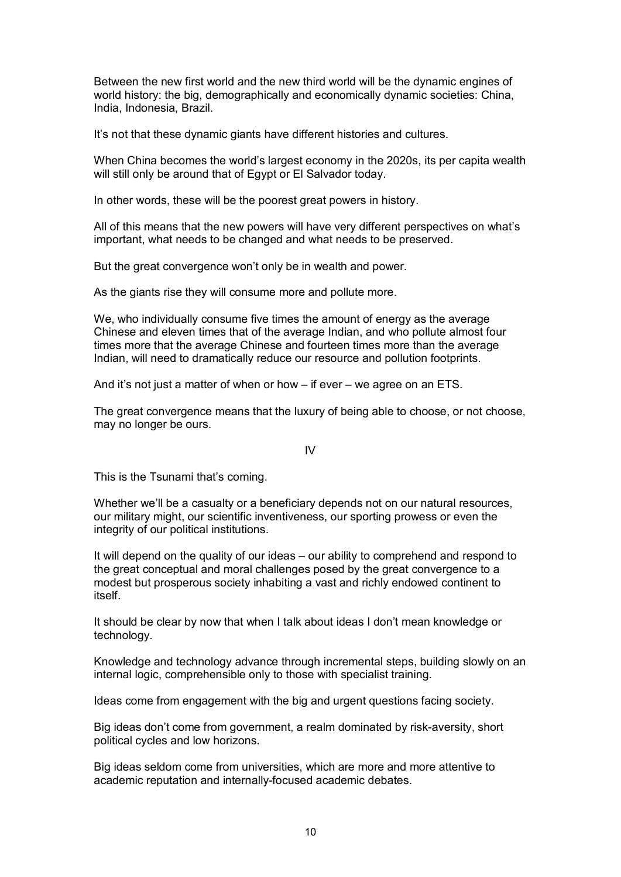Between the new first world and the new third world will be the dynamic engines of world history: the big, demographically and economically dynamic societies: China, India, Indonesia, Brazil.

It's not that these dynamic giants have different histories and cultures.

When China becomes the world's largest economy in the 2020s, its per capita wealth will still only be around that of Egypt or El Salvador today.

In other words, these will be the poorest great powers in history.

All of this means that the new powers will have very different perspectives on what's important, what needs to be changed and what needs to be preserved.

But the great convergence won't only be in wealth and power.

As the giants rise they will consume more and pollute more.

We, who individually consume five times the amount of energy as the average Chinese and eleven times that of the average Indian, and who pollute almost four times more that the average Chinese and fourteen times more than the average Indian, will need to dramatically reduce our resource and pollution footprints.

And it's not just a matter of when or how – if ever – we agree on an ETS.

The great convergence means that the luxury of being able to choose, or not choose, may no longer be ours.

IV

This is the Tsunami that's coming.

Whether we'll be a casualty or a beneficiary depends not on our natural resources, our military might, our scientific inventiveness, our sporting prowess or even the integrity of our political institutions.

It will depend on the quality of our ideas – our ability to comprehend and respond to the great conceptual and moral challenges posed by the great convergence to a modest but prosperous society inhabiting a vast and richly endowed continent to itself.

It should be clear by now that when I talk about ideas I don't mean knowledge or technology.

Knowledge and technology advance through incremental steps, building slowly on an internal logic, comprehensible only to those with specialist training.

Ideas come from engagement with the big and urgent questions facing society.

Big ideas don't come from government, a realm dominated by risk-aversity, short political cycles and low horizons.

Big ideas seldom come from universities, which are more and more attentive to academic reputation and internally-focused academic debates.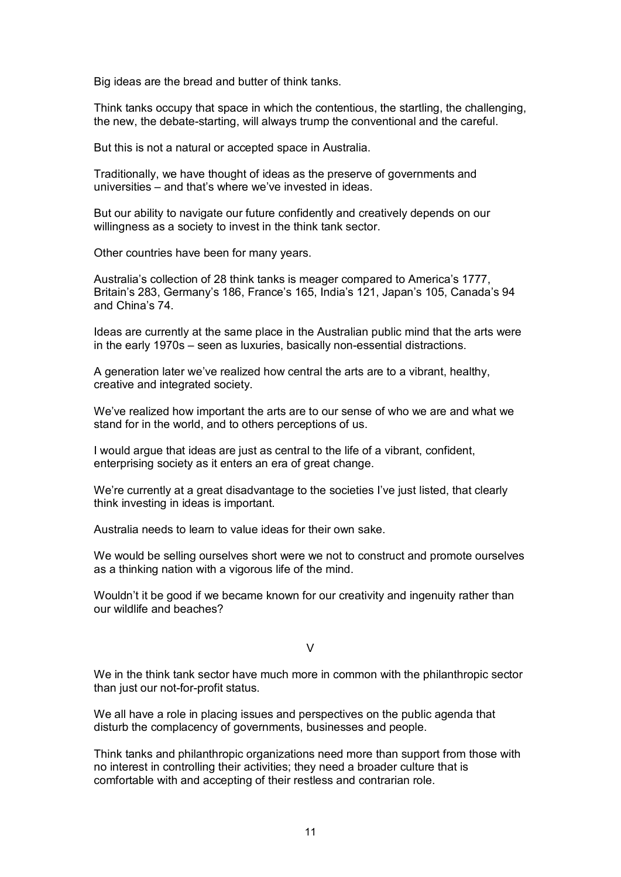Big ideas are the bread and butter of think tanks.

Think tanks occupy that space in which the contentious, the startling, the challenging, the new, the debate-starting, will always trump the conventional and the careful.

But this is not a natural or accepted space in Australia.

Traditionally, we have thought of ideas as the preserve of governments and universities – and that's where we've invested in ideas.

But our ability to navigate our future confidently and creatively depends on our willingness as a society to invest in the think tank sector.

Other countries have been for many years.

Australia's collection of 28 think tanks is meager compared to America's 1777, Britain's 283, Germany's 186, France's 165, India's 121, Japan's 105, Canada's 94 and China's 74.

Ideas are currently at the same place in the Australian public mind that the arts were in the early 1970s – seen as luxuries, basically non-essential distractions.

A generation later we've realized how central the arts are to a vibrant, healthy, creative and integrated society.

We've realized how important the arts are to our sense of who we are and what we stand for in the world, and to others perceptions of us.

I would argue that ideas are just as central to the life of a vibrant, confident, enterprising society as it enters an era of great change.

We're currently at a great disadvantage to the societies I've just listed, that clearly think investing in ideas is important.

Australia needs to learn to value ideas for their own sake.

We would be selling ourselves short were we not to construct and promote ourselves as a thinking nation with a vigorous life of the mind.

Wouldn't it be good if we became known for our creativity and ingenuity rather than our wildlife and beaches?

## $\overline{V}$

We in the think tank sector have much more in common with the philanthropic sector than just our not-for-profit status.

We all have a role in placing issues and perspectives on the public agenda that disturb the complacency of governments, businesses and people.

Think tanks and philanthropic organizations need more than support from those with no interest in controlling their activities; they need a broader culture that is comfortable with and accepting of their restless and contrarian role.